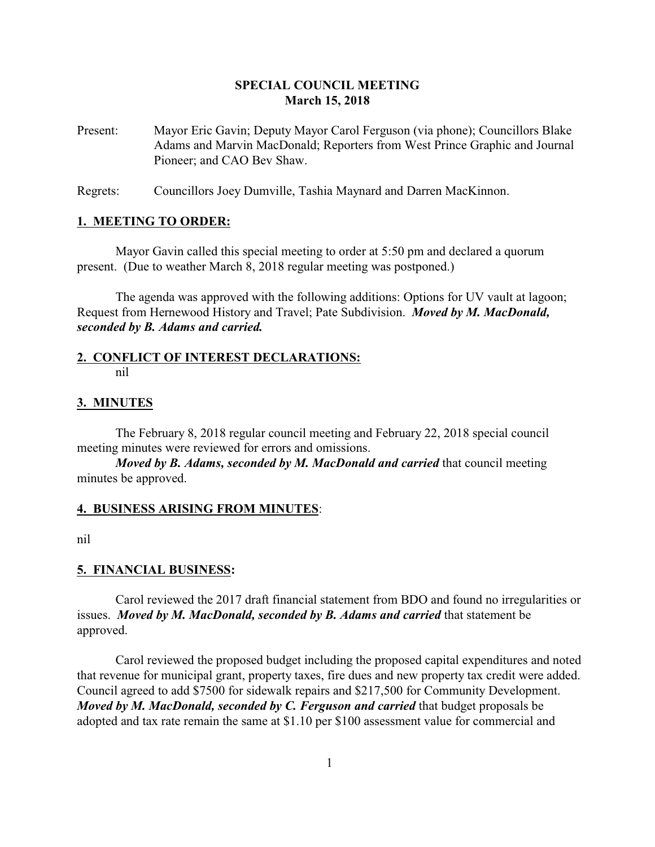# **SPECIAL COUNCIL MEETING March 15, 2018**

Present: Mayor Eric Gavin; Deputy Mayor Carol Ferguson (via phone); Councillors Blake Adams and Marvin MacDonald; Reporters from West Prince Graphic and Journal Pioneer; and CAO Bev Shaw.

Regrets: Councillors Joey Dumville, Tashia Maynard and Darren MacKinnon.

### **1. MEETING TO ORDER:**

Mayor Gavin called this special meeting to order at 5:50 pm and declared a quorum present. (Due to weather March 8, 2018 regular meeting was postponed.)

The agenda was approved with the following additions: Options for UV vault at lagoon; Request from Hernewood History and Travel; Pate Subdivision. *Moved by M. MacDonald, seconded by B. Adams and carried.*

### **2. CONFLICT OF INTEREST DECLARATIONS:** nil

### **3. MINUTES**

The February 8, 2018 regular council meeting and February 22, 2018 special council meeting minutes were reviewed for errors and omissions.

*Moved by B. Adams, seconded by M. MacDonald and carried* that council meeting minutes be approved.

### **4. BUSINESS ARISING FROM MINUTES**:

nil

### **5. FINANCIAL BUSINESS:**

Carol reviewed the 2017 draft financial statement from BDO and found no irregularities or issues. *Moved by M. MacDonald, seconded by B. Adams and carried* that statement be approved.

Carol reviewed the proposed budget including the proposed capital expenditures and noted that revenue for municipal grant, property taxes, fire dues and new property tax credit were added. Council agreed to add \$7500 for sidewalk repairs and \$217,500 for Community Development. *Moved by M. MacDonald, seconded by C. Ferguson and carried that budget proposals be* adopted and tax rate remain the same at \$1.10 per \$100 assessment value for commercial and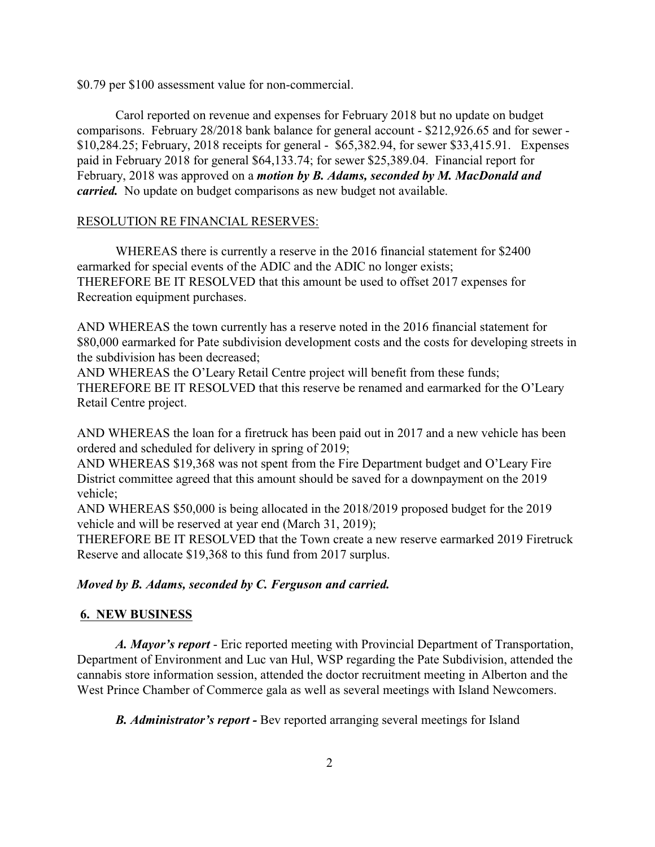\$0.79 per \$100 assessment value for non-commercial.

Carol reported on revenue and expenses for February 2018 but no update on budget comparisons. February 28/2018 bank balance for general account - \$212,926.65 and for sewer - \$10,284.25; February, 2018 receipts for general - \$65,382.94, for sewer \$33,415.91. Expenses paid in February 2018 for general \$64,133.74; for sewer \$25,389.04. Financial report for February, 2018 was approved on a *motion by B. Adams, seconded by M. MacDonald and carried.* No update on budget comparisons as new budget not available.

# RESOLUTION RE FINANCIAL RESERVES:

WHEREAS there is currently a reserve in the 2016 financial statement for \$2400 earmarked for special events of the ADIC and the ADIC no longer exists; THEREFORE BE IT RESOLVED that this amount be used to offset 2017 expenses for Recreation equipment purchases.

AND WHEREAS the town currently has a reserve noted in the 2016 financial statement for \$80,000 earmarked for Pate subdivision development costs and the costs for developing streets in the subdivision has been decreased;

AND WHEREAS the O'Leary Retail Centre project will benefit from these funds; THEREFORE BE IT RESOLVED that this reserve be renamed and earmarked for the O'Leary Retail Centre project.

AND WHEREAS the loan for a firetruck has been paid out in 2017 and a new vehicle has been ordered and scheduled for delivery in spring of 2019;

AND WHEREAS \$19,368 was not spent from the Fire Department budget and O'Leary Fire District committee agreed that this amount should be saved for a downpayment on the 2019 vehicle;

AND WHEREAS \$50,000 is being allocated in the 2018/2019 proposed budget for the 2019 vehicle and will be reserved at year end (March 31, 2019);

THEREFORE BE IT RESOLVED that the Town create a new reserve earmarked 2019 Firetruck Reserve and allocate \$19,368 to this fund from 2017 surplus.

# *Moved by B. Adams, seconded by C. Ferguson and carried.*

# **6. NEW BUSINESS**

*A. Mayor's report* - Eric reported meeting with Provincial Department of Transportation, Department of Environment and Luc van Hul, WSP regarding the Pate Subdivision, attended the cannabis store information session, attended the doctor recruitment meeting in Alberton and the West Prince Chamber of Commerce gala as well as several meetings with Island Newcomers.

*B. Administrator's report -* Bev reported arranging several meetings for Island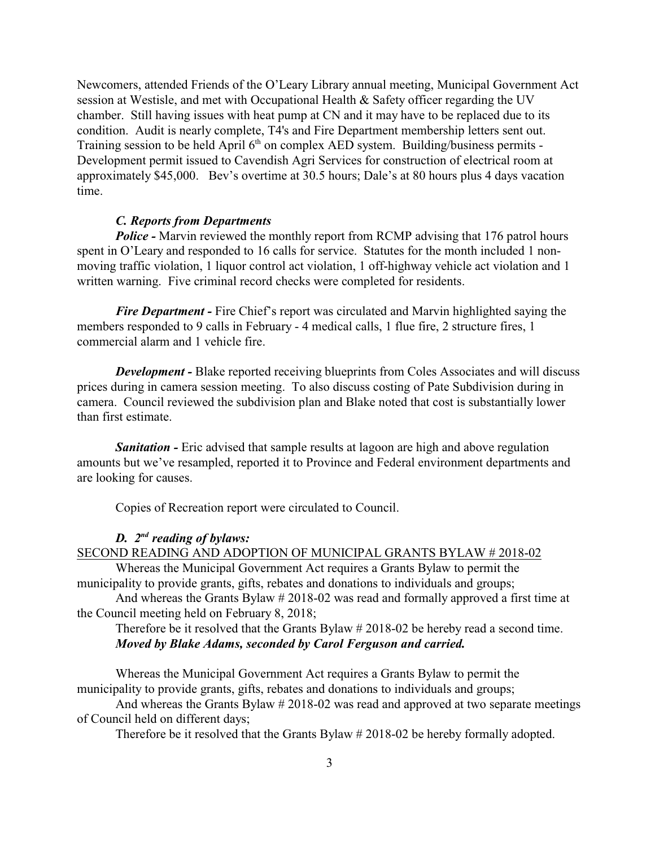Newcomers, attended Friends of the O'Leary Library annual meeting, Municipal Government Act session at Westisle, and met with Occupational Health & Safety officer regarding the UV chamber. Still having issues with heat pump at CN and it may have to be replaced due to its condition. Audit is nearly complete, T4's and Fire Department membership letters sent out. Training session to be held April 6<sup>th</sup> on complex AED system. Building/business permits -Development permit issued to Cavendish Agri Services for construction of electrical room at approximately \$45,000. Bev's overtime at 30.5 hours; Dale's at 80 hours plus 4 days vacation time.

### *C. Reports from Departments*

*Police* - Marvin reviewed the monthly report from RCMP advising that 176 patrol hours spent in O'Leary and responded to 16 calls for service. Statutes for the month included 1 nonmoving traffic violation, 1 liquor control act violation, 1 off-highway vehicle act violation and 1 written warning. Five criminal record checks were completed for residents.

*Fire Department* - Fire Chief's report was circulated and Marvin highlighted saying the members responded to 9 calls in February - 4 medical calls, 1 flue fire, 2 structure fires, 1 commercial alarm and 1 vehicle fire.

*Development -* Blake reported receiving blueprints from Coles Associates and will discuss prices during in camera session meeting. To also discuss costing of Pate Subdivision during in camera. Council reviewed the subdivision plan and Blake noted that cost is substantially lower than first estimate.

*Sanitation* - Eric advised that sample results at lagoon are high and above regulation amounts but we've resampled, reported it to Province and Federal environment departments and are looking for causes.

Copies of Recreation report were circulated to Council.

## *D. 2nd reading of bylaws:*

## SECOND READING AND ADOPTION OF MUNICIPAL GRANTS BYLAW # 2018-02

Whereas the Municipal Government Act requires a Grants Bylaw to permit the municipality to provide grants, gifts, rebates and donations to individuals and groups;

And whereas the Grants Bylaw # 2018-02 was read and formally approved a first time at the Council meeting held on February 8, 2018;

Therefore be it resolved that the Grants Bylaw # 2018-02 be hereby read a second time. *Moved by Blake Adams, seconded by Carol Ferguson and carried.*

Whereas the Municipal Government Act requires a Grants Bylaw to permit the municipality to provide grants, gifts, rebates and donations to individuals and groups;

And whereas the Grants Bylaw # 2018-02 was read and approved at two separate meetings of Council held on different days;

Therefore be it resolved that the Grants Bylaw # 2018-02 be hereby formally adopted.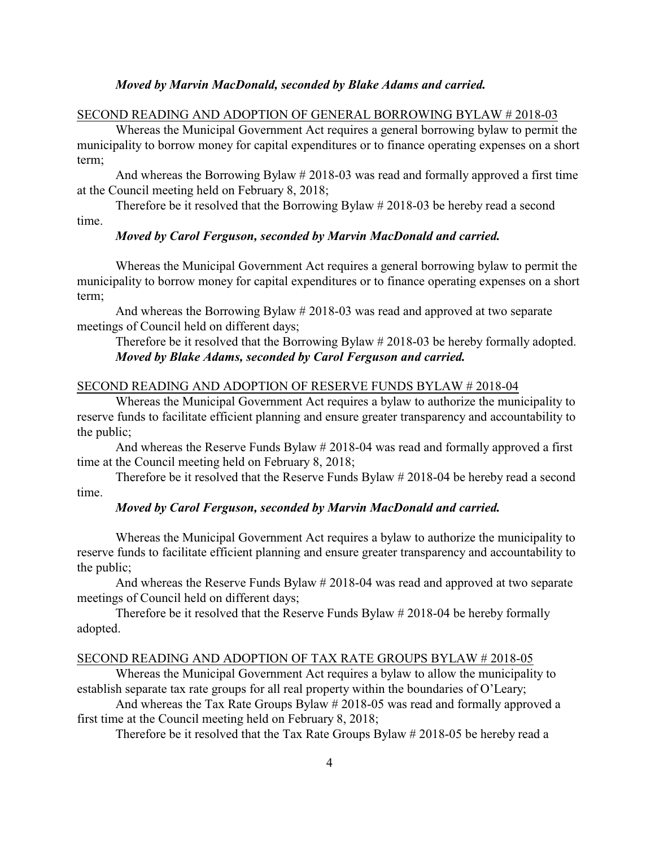### *Moved by Marvin MacDonald, seconded by Blake Adams and carried.*

### SECOND READING AND ADOPTION OF GENERAL BORROWING BYLAW # 2018-03

Whereas the Municipal Government Act requires a general borrowing bylaw to permit the municipality to borrow money for capital expenditures or to finance operating expenses on a short term;

And whereas the Borrowing Bylaw # 2018-03 was read and formally approved a first time at the Council meeting held on February 8, 2018;

Therefore be it resolved that the Borrowing Bylaw # 2018-03 be hereby read a second

time.

### *Moved by Carol Ferguson, seconded by Marvin MacDonald and carried.*

Whereas the Municipal Government Act requires a general borrowing bylaw to permit the municipality to borrow money for capital expenditures or to finance operating expenses on a short term;

And whereas the Borrowing Bylaw # 2018-03 was read and approved at two separate meetings of Council held on different days;

Therefore be it resolved that the Borrowing Bylaw # 2018-03 be hereby formally adopted. *Moved by Blake Adams, seconded by Carol Ferguson and carried.*

#### SECOND READING AND ADOPTION OF RESERVE FUNDS BYLAW # 2018-04

Whereas the Municipal Government Act requires a bylaw to authorize the municipality to reserve funds to facilitate efficient planning and ensure greater transparency and accountability to the public;

And whereas the Reserve Funds Bylaw # 2018-04 was read and formally approved a first time at the Council meeting held on February 8, 2018;

Therefore be it resolved that the Reserve Funds Bylaw # 2018-04 be hereby read a second time.

### *Moved by Carol Ferguson, seconded by Marvin MacDonald and carried.*

Whereas the Municipal Government Act requires a bylaw to authorize the municipality to reserve funds to facilitate efficient planning and ensure greater transparency and accountability to the public;

And whereas the Reserve Funds Bylaw # 2018-04 was read and approved at two separate meetings of Council held on different days;

Therefore be it resolved that the Reserve Funds Bylaw # 2018-04 be hereby formally adopted.

## SECOND READING AND ADOPTION OF TAX RATE GROUPS BYLAW # 2018-05

Whereas the Municipal Government Act requires a bylaw to allow the municipality to establish separate tax rate groups for all real property within the boundaries of O'Leary;

And whereas the Tax Rate Groups Bylaw # 2018-05 was read and formally approved a first time at the Council meeting held on February 8, 2018;

Therefore be it resolved that the Tax Rate Groups Bylaw # 2018-05 be hereby read a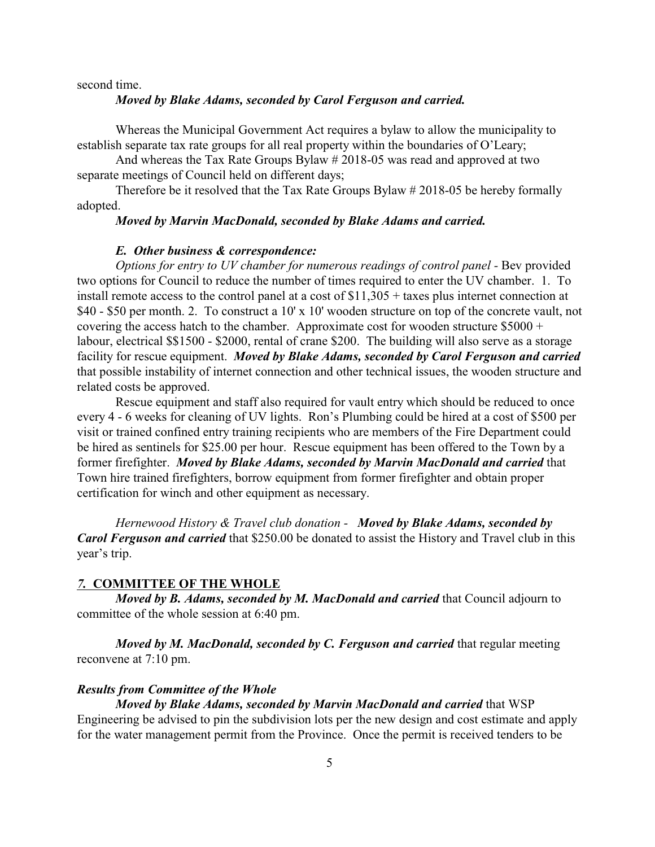second time.

### *Moved by Blake Adams, seconded by Carol Ferguson and carried.*

Whereas the Municipal Government Act requires a bylaw to allow the municipality to establish separate tax rate groups for all real property within the boundaries of O'Leary;

And whereas the Tax Rate Groups Bylaw # 2018-05 was read and approved at two separate meetings of Council held on different days;

Therefore be it resolved that the Tax Rate Groups Bylaw # 2018-05 be hereby formally adopted.

### *Moved by Marvin MacDonald, seconded by Blake Adams and carried.*

#### *E. Other business & correspondence:*

*Options for entry to UV chamber for numerous readings of control panel - Bev provided* two options for Council to reduce the number of times required to enter the UV chamber. 1. To install remote access to the control panel at a cost of \$11,305 + taxes plus internet connection at \$40 - \$50 per month. 2. To construct a 10' x 10' wooden structure on top of the concrete vault, not covering the access hatch to the chamber. Approximate cost for wooden structure  $$5000 +$ labour, electrical \$\$1500 - \$2000, rental of crane \$200. The building will also serve as a storage facility for rescue equipment. *Moved by Blake Adams, seconded by Carol Ferguson and carried* that possible instability of internet connection and other technical issues, the wooden structure and related costs be approved.

Rescue equipment and staff also required for vault entry which should be reduced to once every 4 - 6 weeks for cleaning of UV lights. Ron's Plumbing could be hired at a cost of \$500 per visit or trained confined entry training recipients who are members of the Fire Department could be hired as sentinels for \$25.00 per hour. Rescue equipment has been offered to the Town by a former firefighter. *Moved by Blake Adams, seconded by Marvin MacDonald and carried* that Town hire trained firefighters, borrow equipment from former firefighter and obtain proper certification for winch and other equipment as necessary.

*Hernewood History & Travel club donation - Moved by Blake Adams, seconded by Carol Ferguson and carried* that \$250.00 be donated to assist the History and Travel club in this year's trip.

### *7.* **COMMITTEE OF THE WHOLE**

*Moved by B. Adams, seconded by M. MacDonald and carried* that Council adjourn to committee of the whole session at 6:40 pm.

*Moved by M. MacDonald, seconded by C. Ferguson and carried that regular meeting* reconvene at 7:10 pm.

### *Results from Committee of the Whole*

#### *Moved by Blake Adams, seconded by Marvin MacDonald and carried* that WSP

Engineering be advised to pin the subdivision lots per the new design and cost estimate and apply for the water management permit from the Province. Once the permit is received tenders to be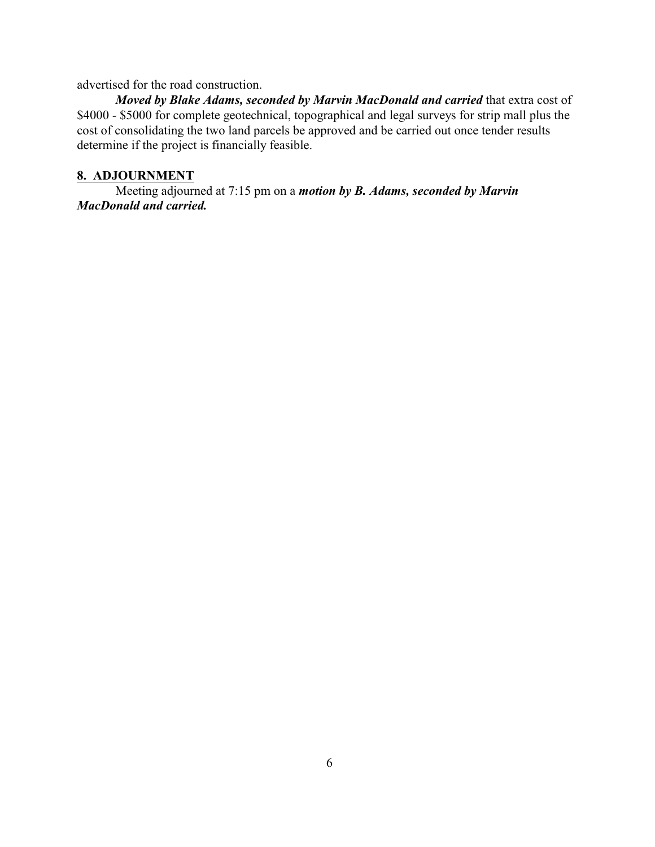advertised for the road construction.

*Moved by Blake Adams, seconded by Marvin MacDonald and carried* that extra cost of \$4000 - \$5000 for complete geotechnical, topographical and legal surveys for strip mall plus the cost of consolidating the two land parcels be approved and be carried out once tender results determine if the project is financially feasible.

# **8. ADJOURNMENT**

Meeting adjourned at 7:15 pm on a *motion by B. Adams, seconded by Marvin MacDonald and carried.*